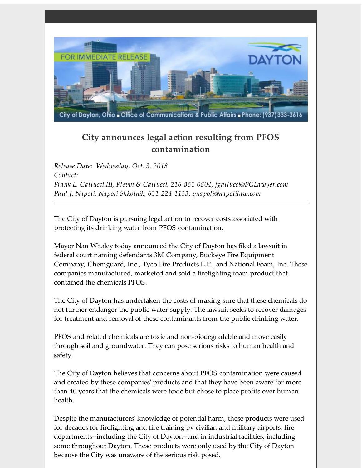

## **City announces legal action resulting from PFOS contamination**

*Release Date: Wednesday, Oct. 3, 2018 Contact: Frank L. Gallucci III, Plevin & Gallucci, 216-861-0804, fgallucci@PGLawyer.com Paul J. Napoli, Napoli Shkolnik, 631-224-1133, pnapoli@napolilaw.com*

The City of Dayton is pursuing legal action to recover costs associated with protecting its drinking water from PFOS contamination.

Mayor Nan Whaley today announced the City of Dayton has filed a lawsuit in federal court naming defendants 3M Company, Buckeye Fire Equipment Company, Chemguard, Inc., Tyco Fire Products L.P., and National Foam, Inc. These companies manufactured, marketed and sold a firefighting foam product that contained the chemicals PFOS.

The City of Dayton has undertaken the costs of making sure that these chemicals do not further endanger the public water supply. The lawsuit seeks to recover damages for treatment and removal of these contaminants from the public drinking water.

PFOS and related chemicals are toxic and non-biodegradable and move easily through soil and groundwater. They can pose serious risks to human health and safety.

The City of Dayton believes that concerns about PFOS contamination were caused and created by these companies' products and that they have been aware for more than 40 years that the chemicals were toxic but chose to place profits over human health.

Despite the manufacturers' knowledge of potential harm, these products were used for decades for firefighting and fire training by civilian and military airports, fire departments--including the City of Dayton--and in industrial facilities, including some throughout Dayton. These products were only used by the City of Dayton because the City was unaware of the serious risk posed.